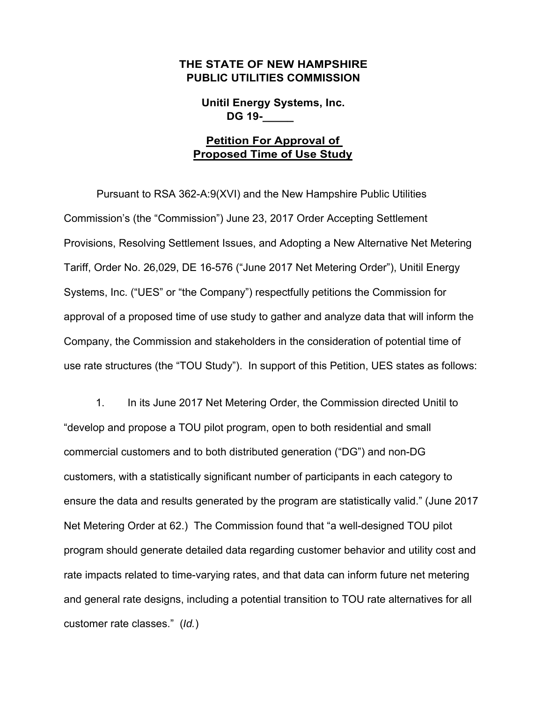## **THE STATE OF NEW HAMPSHIRE PUBLIC UTILITIES COMMISSION**

**Unitil Energy Systems, Inc. DG 19-\_\_\_\_\_**

## **Petition For Approval of Proposed Time of Use Study**

Pursuant to RSA 362-A:9(XVI) and the New Hampshire Public Utilities Commission's (the "Commission") June 23, 2017 Order Accepting Settlement Provisions, Resolving Settlement Issues, and Adopting a New Alternative Net Metering Tariff, Order No. 26,029, DE 16-576 ("June 2017 Net Metering Order"), Unitil Energy Systems, Inc. ("UES" or "the Company") respectfully petitions the Commission for approval of a proposed time of use study to gather and analyze data that will inform the Company, the Commission and stakeholders in the consideration of potential time of use rate structures (the "TOU Study"). In support of this Petition, UES states as follows:

1. In its June 2017 Net Metering Order, the Commission directed Unitil to "develop and propose a TOU pilot program, open to both residential and small commercial customers and to both distributed generation ("DG") and non-DG customers, with a statistically significant number of participants in each category to ensure the data and results generated by the program are statistically valid." (June 2017 Net Metering Order at 62.) The Commission found that "a well-designed TOU pilot program should generate detailed data regarding customer behavior and utility cost and rate impacts related to time-varying rates, and that data can inform future net metering and general rate designs, including a potential transition to TOU rate alternatives for all customer rate classes." (*Id.*)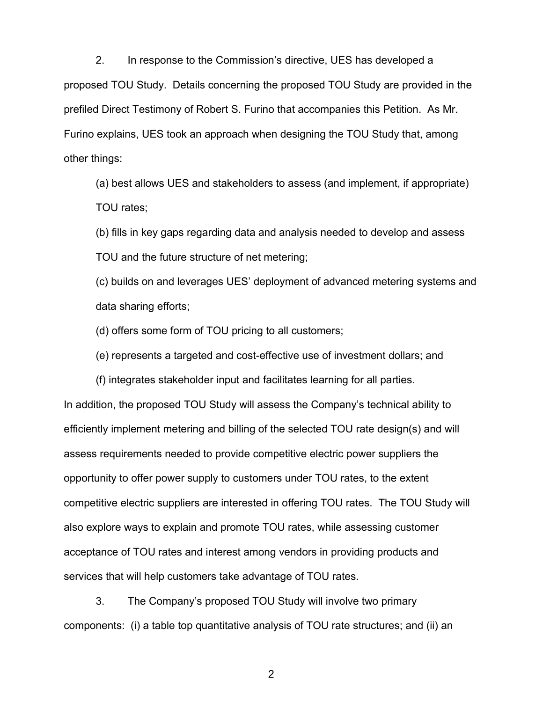2. In response to the Commission's directive, UES has developed a proposed TOU Study. Details concerning the proposed TOU Study are provided in the prefiled Direct Testimony of Robert S. Furino that accompanies this Petition. As Mr. Furino explains, UES took an approach when designing the TOU Study that, among other things:

(a) best allows UES and stakeholders to assess (and implement, if appropriate) TOU rates;

(b) fills in key gaps regarding data and analysis needed to develop and assess TOU and the future structure of net metering;

(c) builds on and leverages UES' deployment of advanced metering systems and data sharing efforts;

(d) offers some form of TOU pricing to all customers;

(e) represents a targeted and cost-effective use of investment dollars; and

(f) integrates stakeholder input and facilitates learning for all parties. In addition, the proposed TOU Study will assess the Company's technical ability to efficiently implement metering and billing of the selected TOU rate design(s) and will assess requirements needed to provide competitive electric power suppliers the opportunity to offer power supply to customers under TOU rates, to the extent competitive electric suppliers are interested in offering TOU rates. The TOU Study will also explore ways to explain and promote TOU rates, while assessing customer acceptance of TOU rates and interest among vendors in providing products and services that will help customers take advantage of TOU rates.

3. The Company's proposed TOU Study will involve two primary components: (i) a table top quantitative analysis of TOU rate structures; and (ii) an

2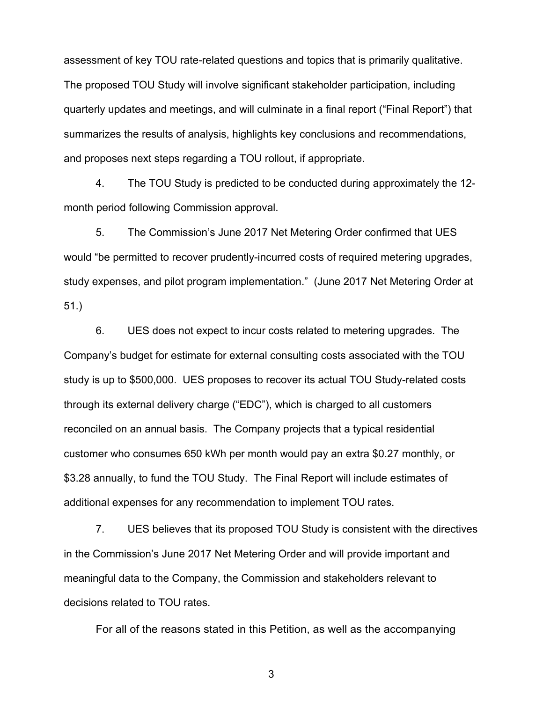assessment of key TOU rate-related questions and topics that is primarily qualitative. The proposed TOU Study will involve significant stakeholder participation, including quarterly updates and meetings, and will culminate in a final report ("Final Report") that summarizes the results of analysis, highlights key conclusions and recommendations, and proposes next steps regarding a TOU rollout, if appropriate.

4. The TOU Study is predicted to be conducted during approximately the 12 month period following Commission approval.

5. The Commission's June 2017 Net Metering Order confirmed that UES would "be permitted to recover prudently-incurred costs of required metering upgrades, study expenses, and pilot program implementation." (June 2017 Net Metering Order at 51.)

6. UES does not expect to incur costs related to metering upgrades. The Company's budget for estimate for external consulting costs associated with the TOU study is up to \$500,000. UES proposes to recover its actual TOU Study-related costs through its external delivery charge ("EDC"), which is charged to all customers reconciled on an annual basis. The Company projects that a typical residential customer who consumes 650 kWh per month would pay an extra \$0.27 monthly, or \$3.28 annually, to fund the TOU Study. The Final Report will include estimates of additional expenses for any recommendation to implement TOU rates.

7. UES believes that its proposed TOU Study is consistent with the directives in the Commission's June 2017 Net Metering Order and will provide important and meaningful data to the Company, the Commission and stakeholders relevant to decisions related to TOU rates.

For all of the reasons stated in this Petition, as well as the accompanying

3